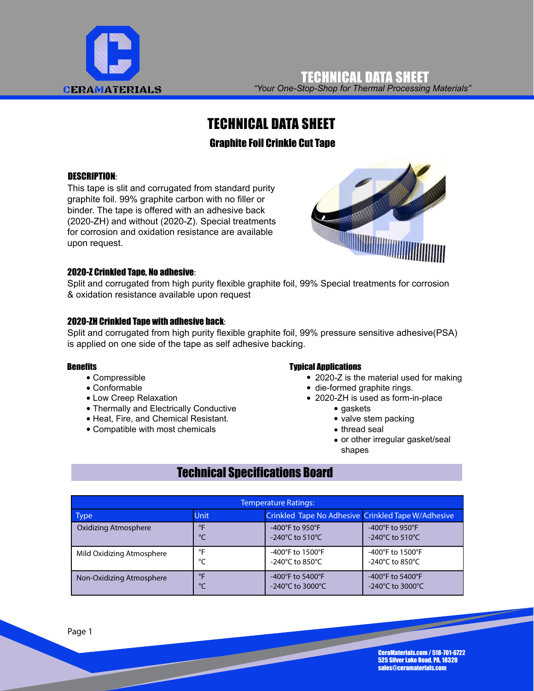

*"Your One-Stop-Shop for Thermal Processing Materials"* TECHNICAL DATA SHEET

## TECHNICAL DATA SHEET

### Graphite Foil Crinkle Cut Tape

#### DESCRIPTION:

This tape is slit and corrugated from standard purity graphite foil. 99% graphite carbon with no filler or binder. The tape is offered with an adhesive back (2020-ZH) and without (2020-Z). Special treatments for corrosion and oxidation resistance are available upon request.



#### 2020-Z Crinkled Tape, No adhesive:

Split and corrugated from high purity flexible graphite foil, 99% Special treatments for corrosion & oxidation resistance available upon request

#### 2020-ZH Crinkled Tape with adhesive back:

Split and corrugated from high purity flexible graphite foil, 99% pressure sensitive adhesive(PSA) is applied on one side of the tape as self adhesive backing.

#### **Benefits**

- Compressible
- Conformable
- Low Creep Relaxation
- Thermally and Electrically Conductive
- Heat, Fire, and Chemical Resistant.
- Compatible with most chemicals

#### Typical Applications

- 2020-Z is the material used for making
- die-formed graphite rings.
- 2020-ZH is used as form-in-place
	- gaskets
	- valve stem packing
	- thread seal
	- or other irregular gasket/seal shapes

## Technical Specifications Board

| <b>Temperature Ratings:</b> |             |                                                    |                                       |  |  |
|-----------------------------|-------------|----------------------------------------------------|---------------------------------------|--|--|
| Type                        | <b>Unit</b> | Crinkled Tape No Adhesive Crinkled Tape W/Adhesive |                                       |  |  |
| Oxidizing Atmosphere        | $^{\circ}$  | $-400^{\circ}$ F to 950 $^{\circ}$ F               | -400 $\degree$ F to 950 $\degree$ F   |  |  |
|                             | ℃           | $-240^{\circ}$ C to 510 $^{\circ}$ C               | -240°C to 510°C                       |  |  |
| Mild Oxidizing Atmosphere   | $^{\circ}$  | -400°F to 1500°F                                   | -400°F to 1500°F                      |  |  |
|                             | °C          | $-240^{\circ}$ C to 850 $^{\circ}$ C               | $-240^{\circ}$ C to 850 $^{\circ}$ C  |  |  |
| Non-Oxidizing Atmosphere    | $^{\circ}$  | $-400^{\circ}$ F to 5400 $^{\circ}$ F              | -400 $\degree$ F to 5400 $\degree$ F  |  |  |
|                             | °⊂          | $-240^{\circ}$ C to 3000 $^{\circ}$ C              | $-240^{\circ}$ C to 3000 $^{\circ}$ C |  |  |

CeraMaterials.com / 518-701-6722 525 Silver Lake Road, PA, 18328 sales@ceramaterials.com